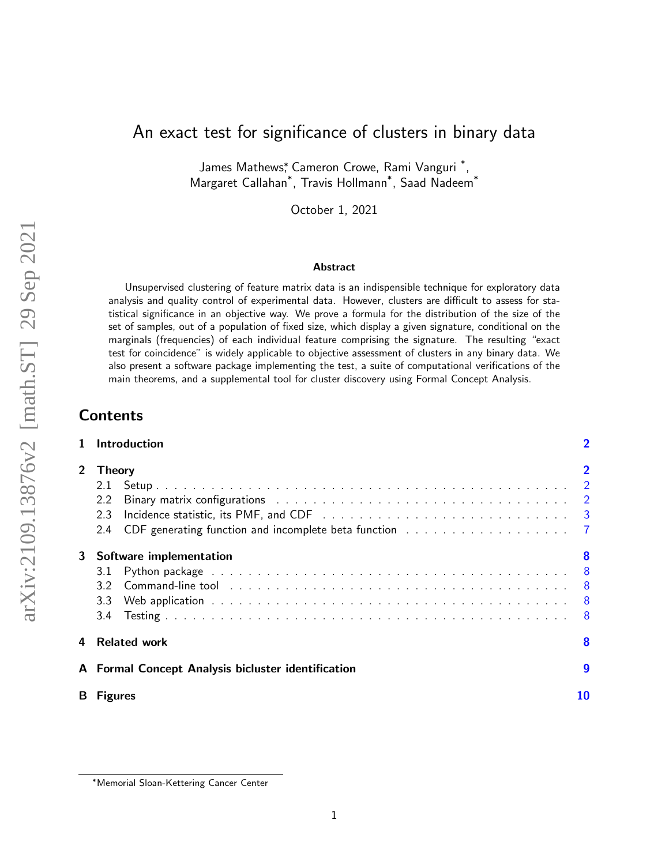# An exact test for significance of clusters in binary data

James Mathews\*, Cameron Crowe, Rami Vanguri<sup>\*</sup>, Margaret Callahan\* , Travis Hollmann\* , Saad Nadeem\*

October 1, 2021

#### Abstract

Unsupervised clustering of feature matrix data is an indispensible technique for exploratory data analysis and quality control of experimental data. However, clusters are difficult to assess for statistical significance in an objective way. We prove a formula for the distribution of the size of the set of samples, out of a population of fixed size, which display a given signature, conditional on the marginals (frequencies) of each individual feature comprising the signature. The resulting "exact test for coincidence" is widely applicable to objective assessment of clusters in any binary data. We also present a software package implementing the test, a suite of computational verifications of the main theorems, and a supplemental tool for cluster discovery using Formal Concept Analysis.

# Contents

|    | Introduction                                                                                                                                                                                                                                                                                       | $\overline{\mathbf{2}}$ |  |  |  |
|----|----------------------------------------------------------------------------------------------------------------------------------------------------------------------------------------------------------------------------------------------------------------------------------------------------|-------------------------|--|--|--|
|    | 2 Theory<br>2.2<br>2.3<br>2.4                                                                                                                                                                                                                                                                      | $\overline{2}$          |  |  |  |
| 3  | Software implementation<br>3.1<br>Command-line tool in the state of the state of the state of the state of the state of the state of the state of the state of the state of the state of the state of the state of the state of the state of the state of the st<br>3.2<br>3.3 <sub>2</sub><br>3.4 | 8                       |  |  |  |
| 4  | <b>Related work</b>                                                                                                                                                                                                                                                                                | 8                       |  |  |  |
|    | A Formal Concept Analysis bicluster identification                                                                                                                                                                                                                                                 | $\boldsymbol{9}$        |  |  |  |
| B. | <b>Figures</b>                                                                                                                                                                                                                                                                                     |                         |  |  |  |

<sup>∗</sup>Memorial Sloan-Kettering Cancer Center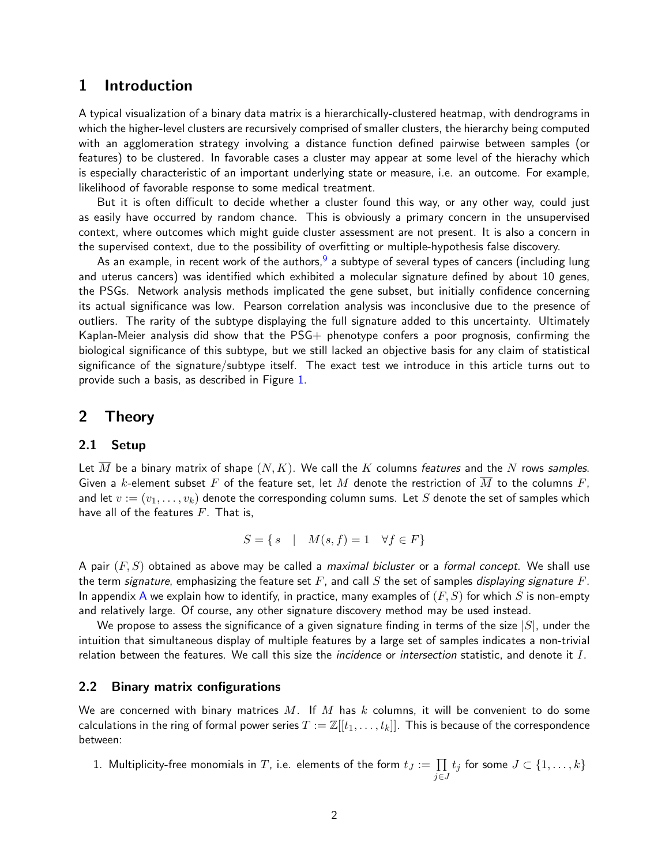## <span id="page-1-0"></span>1 Introduction

A typical visualization of a binary data matrix is a hierarchically-clustered heatmap, with dendrograms in which the higher-level clusters are recursively comprised of smaller clusters, the hierarchy being computed with an agglomeration strategy involving a distance function defined pairwise between samples (or features) to be clustered. In favorable cases a cluster may appear at some level of the hierachy which is especially characteristic of an important underlying state or measure, i.e. an outcome. For example, likelihood of favorable response to some medical treatment.

But it is often difficult to decide whether a cluster found this way, or any other way, could just as easily have occurred by random chance. This is obviously a primary concern in the unsupervised context, where outcomes which might guide cluster assessment are not present. It is also a concern in the supervised context, due to the possibility of overfitting or multiple-hypothesis false discovery.

As an example, in recent work of the authors,<sup>[9](#page-13-0)</sup> a subtype of several types of cancers (including lung and uterus cancers) was identified which exhibited a molecular signature defined by about 10 genes, the PSGs. Network analysis methods implicated the gene subset, but initially confidence concerning its actual significance was low. Pearson correlation analysis was inconclusive due to the presence of outliers. The rarity of the subtype displaying the full signature added to this uncertainty. Ultimately Kaplan-Meier analysis did show that the PSG+ phenotype confers a poor prognosis, confirming the biological significance of this subtype, but we still lacked an objective basis for any claim of statistical significance of the signature/subtype itself. The exact test we introduce in this article turns out to provide such a basis, as described in Figure [1.](#page-9-1)

### <span id="page-1-1"></span>2 Theory

### <span id="page-1-2"></span>2.1 Setup

Let M be a binary matrix of shape  $(N, K)$ . We call the K columns features and the N rows samples. Given a k-element subset F of the feature set, let M denote the restriction of M to the columns F, and let  $v := (v_1, \ldots, v_k)$  denote the corresponding column sums. Let S denote the set of samples which have all of the features  $F$ . That is,

$$
S = \{ s \mid M(s, f) = 1 \quad \forall f \in F \}
$$

A pair  $(F, S)$  obtained as above may be called a *maximal bicluster* or a *formal concept*. We shall use the term signature, emphasizing the feature set  $F$ , and call  $S$  the set of samples *displaying signature*  $F$ . In appendix [A](#page-8-0) we explain how to identify, in practice, many examples of  $(F, S)$  for which S is non-empty and relatively large. Of course, any other signature discovery method may be used instead.

We propose to assess the significance of a given signature finding in terms of the size  $|S|$ , under the intuition that simultaneous display of multiple features by a large set of samples indicates a non-trivial relation between the features. We call this size the *incidence* or *intersection* statistic, and denote it  $I$ .

#### <span id="page-1-3"></span>2.2 Binary matrix configurations

We are concerned with binary matrices M. If M has k columns, it will be convenient to do some calculations in the ring of formal power series  $T := \mathbb{Z}[[t_1,\ldots,t_k]]$ . This is because of the correspondence between:

1. Multiplicity-free monomials in  $T$ , i.e. elements of the form  $t_J:=\prod$ j∈J  $t_j$  for some  $J \subset \{1,\ldots,k\}$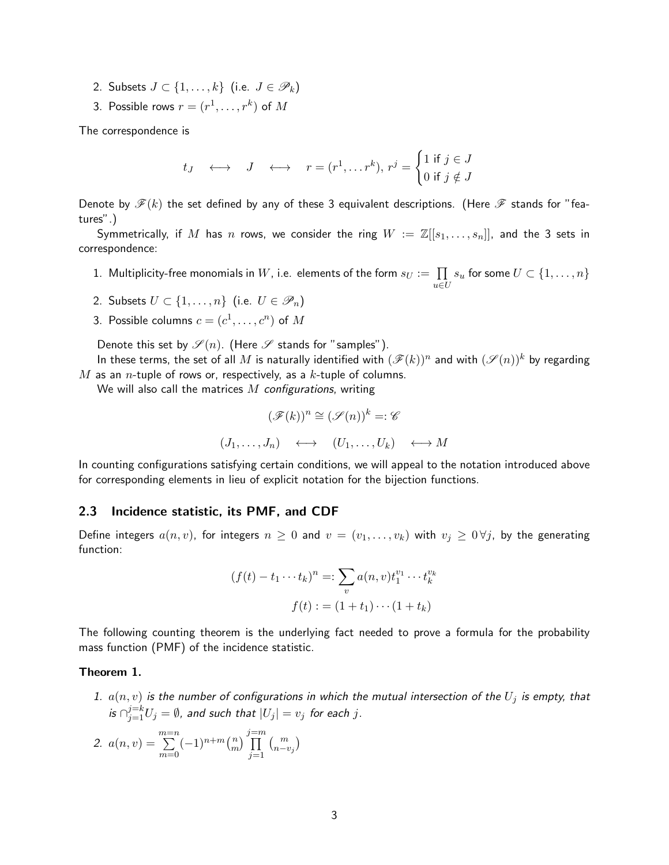- 2. Subsets  $J \subset \{1, \ldots, k\}$  (i.e.  $J \in \mathscr{P}_k$ )
- 3. Possible rows  $r=(r^1,\ldots,r^k)$  of  $M$

The correspondence is

$$
t_J \quad \longleftrightarrow \quad J \quad \longleftrightarrow \quad r = (r^1, \dots r^k), \, r^j = \begin{cases} 1 \text{ if } j \in J \\ 0 \text{ if } j \notin J \end{cases}
$$

Denote by  $\mathscr{F}(k)$  the set defined by any of these 3 equivalent descriptions. (Here  $\mathscr{F}$  stands for "features".)

Symmetrically, if M has n rows, we consider the ring  $W := \mathbb{Z}[[s_1,\ldots,s_n]]$ , and the 3 sets in correspondence:

- 1. Multiplicity-free monomials in  $W$ , i.e. elements of the form  $s_{U} := \ \prod$ u∈U  $s_u$  for some  $U \subset \{1, \ldots, n\}$
- 2. Subsets  $U \subset \{1, \ldots, n\}$  (i.e.  $U \in \mathscr{P}_n$ )
- 3. Possible columns  $c=(c^1,\ldots,c^n)$  of  $M$

Denote this set by  $\mathscr{S}(n)$ . (Here  $\mathscr S$  stands for "samples").

In these terms, the set of all  $M$  is naturally identified with  $(\mathscr{F}(k))^n$  and with  $(\mathscr{S}(n))^k$  by regarding M as an *n*-tuple of rows or, respectively, as a k-tuple of columns.

We will also call the matrices  $M$  configurations, writing

$$
(\mathscr{F}(k))^n \cong (\mathscr{S}(n))^k =: \mathscr{C}
$$

$$
(J_1, \ldots, J_n) \quad \longleftrightarrow \quad (U_1, \ldots, U_k) \quad \longleftrightarrow M
$$

In counting configurations satisfying certain conditions, we will appeal to the notation introduced above for corresponding elements in lieu of explicit notation for the bijection functions.

#### <span id="page-2-0"></span>2.3 Incidence statistic, its PMF, and CDF

Define integers  $a(n, v)$ , for integers  $n \geq 0$  and  $v = (v_1, \ldots, v_k)$  with  $v_j \geq 0 \forall j$ , by the generating function:

$$
(f(t) - t_1 \cdots t_k)^n =: \sum_v a(n, v)t_1^{v_1} \cdots t_k^{v_k}
$$

$$
f(t) := (1 + t_1) \cdots (1 + t_k)
$$

The following counting theorem is the underlying fact needed to prove a formula for the probability mass function (PMF) of the incidence statistic.

#### <span id="page-2-3"></span><span id="page-2-1"></span>Theorem 1.

1.  $a(n, v)$  is the number of configurations in which the mutual intersection of the  $U_j$  is empty, that is  $\cap_{j=1}^{j=k} U_j = \emptyset$ , and such that  $|U_j| = v_j$  for each  $j$ .

<span id="page-2-2"></span>2. 
$$
a(n, v) = \sum_{m=0}^{m=n} (-1)^{n+m} {n \choose m} \prod_{j=1}^{j=m} {m \choose n-v_j}
$$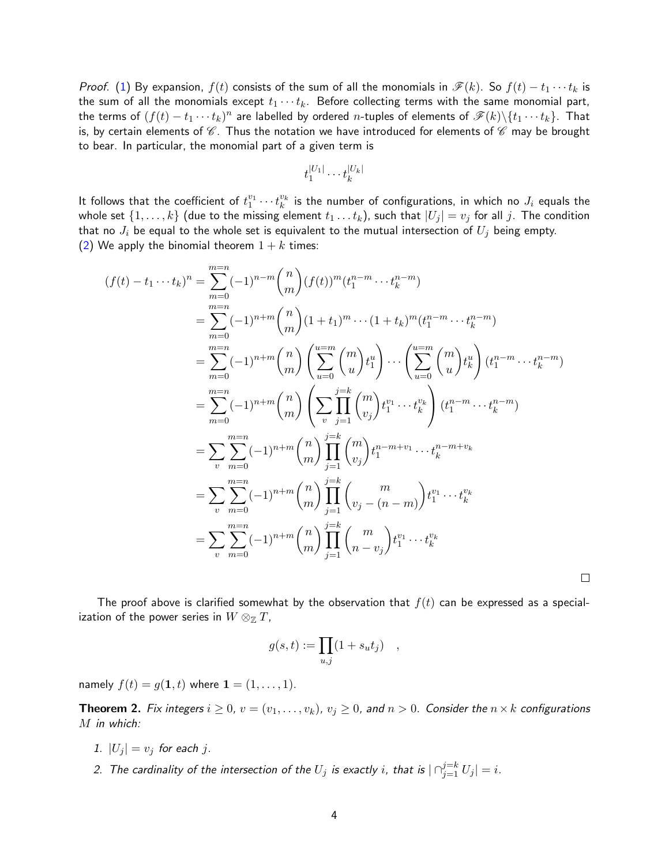*Proof.* [\(1\)](#page-2-1) By expansion,  $f(t)$  consists of the sum of all the monomials in  $\mathscr{F}(k)$ . So  $f(t) - t_1 \cdots t_k$  is the sum of all the monomials except  $t_1 \cdots t_k$ . Before collecting terms with the same monomial part, the terms of  $(f(t)-t_1\cdots t_k)^n$  are labelled by ordered  $n$ -tuples of elements of  $\mathscr{F}(k)\backslash\{t_1\cdots t_k\}.$  That is, by certain elements of  $\mathscr{C}$ . Thus the notation we have introduced for elements of  $\mathscr{C}$  may be brought to bear. In particular, the monomial part of a given term is

$$
t_1^{|U_1|}\cdots t_k^{|U_k|}
$$

It follows that the coefficient of  $t_1^{v_1}\cdots t_k^{v_k}$  is the number of configurations, in which no  $J_i$  equals the whole set  $\{1,\ldots,k\}$  (due to the missing element  $t_1 \ldots t_k$ ), such that  $|U_j| = v_j$  for all j. The condition that no  $J_i$  be equal to the whole set is equivalent to the mutual intersection of  $U_j$  being empty. [\(2\)](#page-2-2) We apply the binomial theorem  $1 + k$  times:

$$
(f(t) - t_1 \cdots t_k)^n = \sum_{m=0}^{m=n} (-1)^{n-m} {n \choose m} (f(t))^m (t_1^{n-m} \cdots t_k^{n-m})
$$
  
\n
$$
= \sum_{m=0}^{m=n} (-1)^{n+m} {n \choose m} (1+t_1)^m \cdots (1+t_k)^m (t_1^{n-m} \cdots t_k^{n-m})
$$
  
\n
$$
= \sum_{m=0}^{m=n} (-1)^{n+m} {n \choose m} \left( \sum_{u=0}^{u=m} {m \choose u} t_1^u \right) \cdots \left( \sum_{u=0}^{u=m} {m \choose u} t_k^u \right) (t_1^{n-m} \cdots t_k^{n-m})
$$
  
\n
$$
= \sum_{m=0}^{m=n} (-1)^{n+m} {n \choose m} \left( \sum_{v} \prod_{j=1}^{j=k} {m \choose v_j} t_1^{v_1} \cdots t_k^{v_k} \right) (t_1^{n-m} \cdots t_k^{n-m})
$$
  
\n
$$
= \sum_{v} \sum_{m=0}^{m=n} (-1)^{n+m} {n \choose m} \prod_{j=1}^{j=k} {m \choose v_j} t_1^{n-m+v_1} \cdots t_k^{n-m+v_k}
$$
  
\n
$$
= \sum_{v} \sum_{m=0}^{m=n} (-1)^{n+m} {n \choose m} \prod_{j=1}^{j=k} {m \choose v_j - (n-m)} t_1^{v_1} \cdots t_k^{v_k}
$$
  
\n
$$
= \sum_{v} \sum_{m=0}^{m=n} (-1)^{n+m} {n \choose m} \prod_{j=1}^{j=k} {m \choose n-v_j} t_1^{v_1} \cdots t_k^{v_k}
$$

The proof above is clarified somewhat by the observation that  $f(t)$  can be expressed as a specialization of the power series in  $W \otimes_{\mathbb{Z}} T$ ,

 $\Box$ 

$$
g(s,t) := \prod_{u,j} (1 + s_u t_j) \quad ,
$$

namely  $f(t) = g(1, t)$  where  $1 = (1, ..., 1)$ .

**Theorem 2.** Fix integers  $i \geq 0$ ,  $v = (v_1, \ldots, v_k)$ ,  $v_j \geq 0$ , and  $n > 0$ . Consider the  $n \times k$  configurations M in which:

- 1.  $|U_j| = v_j$  for each j.
- 2. The cardinality of the intersection of the  $U_j$  is exactly  $i$ , that is  $|\cap_{j=1}^{j=k}U_j|=i.$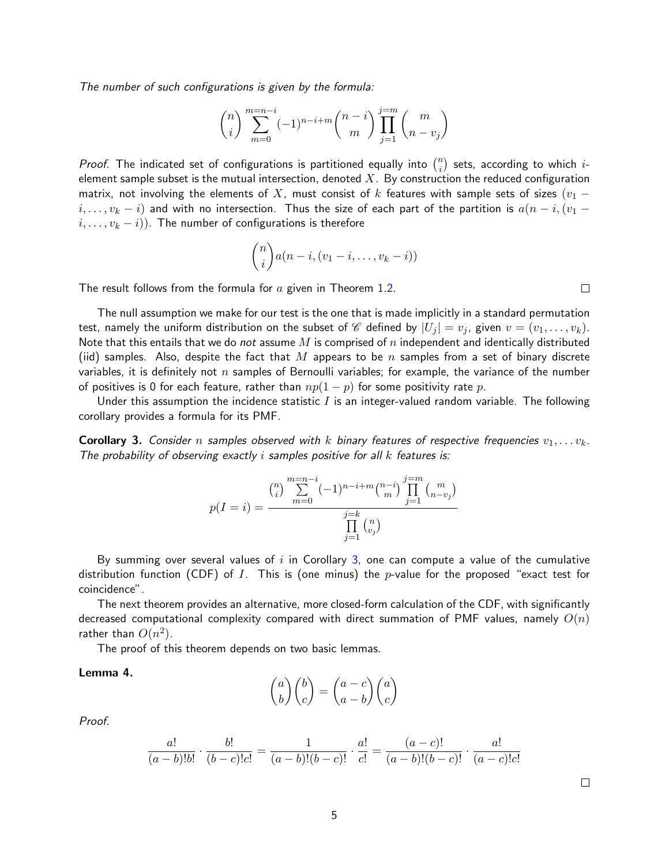The number of such configurations is given by the formula:

$$
\binom{n}{i} \sum_{m=0}^{m=n-i} (-1)^{n-i+m} \binom{n-i}{m} \prod_{j=1}^{j=m} \binom{m}{n-v_j}
$$

Proof. The indicated set of configurations is partitioned equally into  $\binom{n}{i}$  $\binom{n}{i}$  sets, according to which  $i$ element sample subset is the mutual intersection, denoted  $X$ . By construction the reduced configuration matrix, not involving the elements of X, must consist of k features with sample sets of sizes ( $v_1$  –  $i, \ldots, v_k - i$ ) and with no intersection. Thus the size of each part of the partition is  $a(n-i,(v_1 - i))$  $(i, \ldots, v_k - i)$ . The number of configurations is therefore

$$
\binom{n}{i}a(n-i,(v_1-i,\ldots,v_k-i))
$$

The result follows from the formula for  $a$  given in Theorem [1](#page-2-3)[.2.](#page-2-2)

The null assumption we make for our test is the one that is made implicitly in a standard permutation test, namely the uniform distribution on the subset of C defined by  $|U_j| = v_j$ , given  $v = (v_1, \ldots, v_k)$ . Note that this entails that we do not assume M is comprised of n independent and identically distributed (iid) samples. Also, despite the fact that M appears to be n samples from a set of binary discrete variables, it is definitely not  $n$  samples of Bernoulli variables; for example, the variance of the number of positives is 0 for each feature, rather than  $np(1-p)$  for some positivity rate p.

Under this assumption the incidence statistic  $I$  is an integer-valued random variable. The following corollary provides a formula for its PMF.

<span id="page-4-0"></span>**Corollary 3.** Consider n samples observed with k binary features of respective frequencies  $v_1, \ldots v_k$ . The probability of observing exactly  $i$  samples positive for all  $k$  features is:

$$
p(I = i) = \frac{\binom{n}{i} \sum_{m=0}^{m=n-i} (-1)^{n-i+m} \binom{n-i}{m} \prod_{j=1}^{j=m} \binom{m}{n-v_j}}{\prod_{j=1}^{j=k} \binom{n}{v_j}}
$$

By summing over several values of  $i$  in Corollary [3,](#page-4-0) one can compute a value of the cumulative distribution function (CDF) of I. This is (one minus) the p-value for the proposed "exact test for coincidence".

The next theorem provides an alternative, more closed-form calculation of the CDF, with significantly decreased computational complexity compared with direct summation of PMF values, namely  $O(n)$ rather than  $O(n^2)$ .

The proof of this theorem depends on two basic lemmas.

#### Lemma 4.

$$
\binom{a}{b}\binom{b}{c} = \binom{a-c}{a-b}\binom{a}{c}
$$

Proof.

$$
\frac{a!}{(a-b)!b!} \cdot \frac{b!}{(b-c)!c!} = \frac{1}{(a-b)!(b-c)!} \cdot \frac{a!}{c!} = \frac{(a-c)!}{(a-b)!(b-c)!} \cdot \frac{a!}{(a-c)!c!}
$$

 $\Box$ 

 $\Box$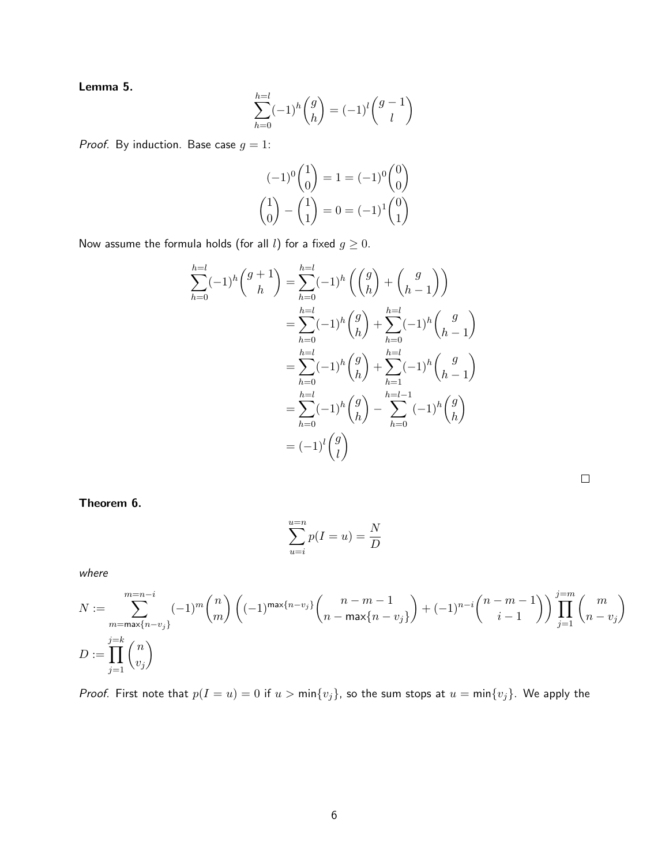Lemma 5.

$$
\sum_{h=0}^{h=l} (-1)^h {g \choose h} = (-1)^l {g-1 \choose l}
$$

*Proof.* By induction. Base case  $g = 1$ :

$$
(-1)^{0} \binom{1}{0} = 1 = (-1)^{0} \binom{0}{0}
$$

$$
\binom{1}{0} - \binom{1}{1} = 0 = (-1)^{1} \binom{0}{1}
$$

Now assume the formula holds (for all l) for a fixed  $g\geq 0$ .

$$
\sum_{h=0}^{h=l}(-1)^h \binom{g+1}{h} = \sum_{h=0}^{h=l}(-1)^h \left(\binom{g}{h} + \binom{g}{h-1}\right)
$$
  

$$
= \sum_{h=0}^{h=l}(-1)^h \binom{g}{h} + \sum_{h=0}^{h=l}(-1)^h \binom{g}{h-1}
$$
  

$$
= \sum_{h=0}^{h=l}(-1)^h \binom{g}{h} + \sum_{h=1}^{h=l}(-1)^h \binom{g}{h-1}
$$
  

$$
= \sum_{h=0}^{h=l}(-1)^h \binom{g}{h} - \sum_{h=0}^{h=l-1}(-1)^h \binom{g}{h}
$$
  

$$
= (-1)^l \binom{g}{l}
$$

Theorem 6.

$$
\sum_{u=i}^{u=n} p(I=u) = \frac{N}{D}
$$

where

$$
N := \sum_{\substack{m = \max\{n - v_j\} \\ j = 1}}^{m = n - i} (-1)^m \binom{n}{m} \left( (-1)^{\max\{n - v_j\}} \binom{n - m - 1}{n - \max\{n - v_j\}} + (-1)^{n - i} \binom{n - m - 1}{i - 1} \right) \prod_{j = 1}^{j = m} \binom{m}{n - v_j}
$$
  

$$
D := \prod_{j = 1}^{j = k} \binom{n}{v_j}
$$

*Proof.* First note that  $p(I = u) = 0$  if  $u > min\{v_j\}$ , so the sum stops at  $u = min\{v_j\}$ . We apply the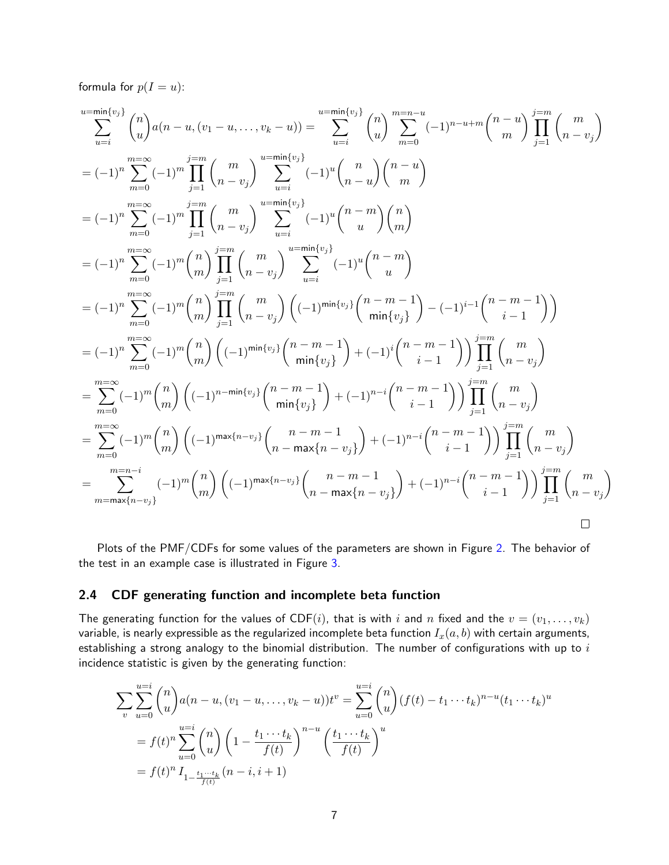formula for  $p(I = u)$ :

$$
\sum_{u=i}^{u=\min\{v_j\}} \binom{n}{u} a(n-u,(v_1-u,\ldots,v_k-u)) = \sum_{u=i}^{u=\min\{v_j\}} \binom{n}{u} \sum_{m=0}^{m=n-u} (-1)^{n-u+m} \binom{n-u}{m} \prod_{j=1}^{j=m} \binom{m}{n-v_j}
$$
\n
$$
= (-1)^n \sum_{m=0}^{m=\infty} (-1)^m \prod_{j=1}^{j=m} \binom{m}{n-v_j} \sum_{u=i}^{u=\min\{v_j\}} (-1)^u \binom{n}{n-u} \binom{n-u}{m}
$$
\n
$$
= (-1)^n \sum_{m=0}^{m=\infty} (-1)^m \prod_{j=1}^{j=m} \binom{m}{n-v_j} \sum_{u=i}^{u=\min\{v_j\}} (-1)^u \binom{n-u}{u}
$$
\n
$$
= (-1)^n \sum_{m=0}^{m=\infty} (-1)^m \binom{n}{m} \prod_{j=1}^{j=m} \binom{m}{n-v_j} \sum_{u=i}^{u=\min\{v_j\}} (-1)^u \binom{n-m}{u}
$$
\n
$$
= (-1)^n \sum_{m=0}^{m=\infty} (-1)^m \binom{n}{m} \prod_{j=1}^{j=m} \binom{m}{n-v_j} \binom{(-1)^{\min\{v_j\}}}{u} \binom{n-m-1}{m!} (-1)^{i-1} \binom{n-m-1}{i-1}
$$
\n
$$
= (-1)^n \sum_{m=0}^{m=\infty} (-1)^m \binom{n}{m} \left((-1)^{\min\{v_j\}} \binom{n-m-1}{\min\{v_j\}} + (-1)^i \binom{n-m-1}{i-1} \right) \prod_{j=1}^{j=m} \binom{m}{n-v_j}
$$
\n
$$
= \sum_{m=0}^{m=\infty} (-1)^m \binom{n}{m} \left((-1)^{n-\min\{v_j\}} \binom{n-m-1}{\min\{v_j\}} + (-1)^{n-i} \binom{n-m-1}{i-1} \right) \prod_{j=1}^{j=m} \binom{n}{n-v_j}
$$
\n
$$
= \sum_{m=0}^{m=\infty} (-1)^m \binom{n}{m} \left((-1)^{\max\{n-v_j\}} \binom{n-m-1}{n-\max\{n-v_j\}} + (-1)^
$$

Plots of the PMF/CDFs for some values of the parameters are shown in Figure [2.](#page-10-0) The behavior of the test in an example case is illustrated in Figure [3.](#page-11-0)

### <span id="page-6-0"></span>2.4 CDF generating function and incomplete beta function

The generating function for the values of CDF(i), that is with i and n fixed and the  $v = (v_1, \ldots, v_k)$ variable, is nearly expressible as the regularized incomplete beta function  $I_x(a, b)$  with certain arguments, establishing a strong analogy to the binomial distribution. The number of configurations with up to  $i$ incidence statistic is given by the generating function:

$$
\sum_{v} \sum_{u=0}^{u=i} {n \choose u} a(n-u, (v_1-u, \dots, v_k-u)) t^v = \sum_{u=0}^{u=i} {n \choose u} (f(t) - t_1 \dots t_k)^{n-u} (t_1 \dots t_k)^u
$$
  
=  $f(t)^n \sum_{u=0}^{u=i} {n \choose u} \left(1 - \frac{t_1 \dots t_k}{f(t)}\right)^{n-u} \left(\frac{t_1 \dots t_k}{f(t)}\right)^u$   
=  $f(t)^n I_{1 - \frac{t_1 \dots t_k}{f(t)}} (n-i, i+1)$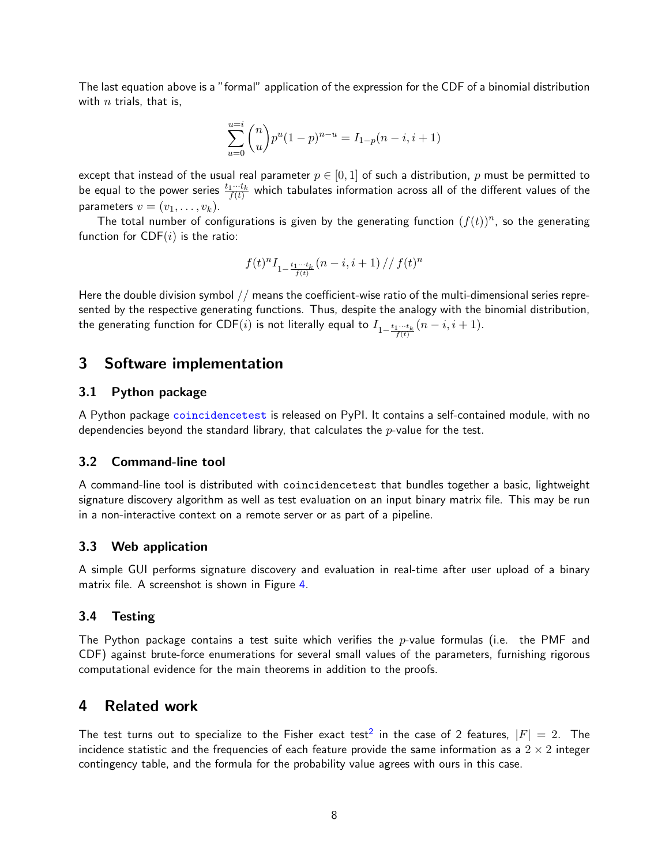The last equation above is a "formal" application of the expression for the CDF of a binomial distribution with  $n$  trials, that is,

$$
\sum_{u=0}^{u=i} \binom{n}{u} p^u (1-p)^{n-u} = I_{1-p}(n-i, i+1)
$$

except that instead of the usual real parameter  $p \in [0,1]$  of such a distribution, p must be permitted to be equal to the power series  $\frac{t_1\cdots t_k}{f(t)}$  which tabulates information across all of the different values of the parameters  $v = (v_1, \ldots, v_k)$ .

The total number of configurations is given by the generating function  $(f(t))^n$ , so the generating function for  $CDF(i)$  is the ratio:

$$
f(t)^n I_{1-\frac{t_1\cdots t_k}{f(t)}}(n-i,i+1)\,//\,f(t)^n
$$

Here the double division symbol // means the coefficient-wise ratio of the multi-dimensional series represented by the respective generating functions. Thus, despite the analogy with the binomial distribution, the generating function for CDF $(i)$  is not literally equal to  $I_{1-\frac{t_1\cdots t_k}{f(t)}}(n-i,i+1).$ 

### <span id="page-7-0"></span>3 Software implementation

#### <span id="page-7-1"></span>3.1 Python package

A Python package [coincidencetest](https://pypi.org/project/coincidencetest/) is released on PyPI. It contains a self-contained module, with no dependencies beyond the standard library, that calculates the  $p$ -value for the test.

### <span id="page-7-2"></span>3.2 Command-line tool

A command-line tool is distributed with coincidencetest that bundles together a basic, lightweight signature discovery algorithm as well as test evaluation on an input binary matrix file. This may be run in a non-interactive context on a remote server or as part of a pipeline.

### <span id="page-7-3"></span>3.3 Web application

A simple GUI performs signature discovery and evaluation in real-time after user upload of a binary matrix file. A screenshot is shown in Figure [4.](#page-11-1)

#### <span id="page-7-4"></span>3.4 Testing

The Python package contains a test suite which verifies the  $p$ -value formulas (i.e. the PMF and CDF) against brute-force enumerations for several small values of the parameters, furnishing rigorous computational evidence for the main theorems in addition to the proofs.

### <span id="page-7-5"></span>4 Related work

The test turns out to specialize to the Fisher exact test $^2$  $^2$  in the case of 2 features,  $\vert F\vert\,=\,2.$  The incidence statistic and the frequencies of each feature provide the same information as a  $2 \times 2$  integer contingency table, and the formula for the probability value agrees with ours in this case.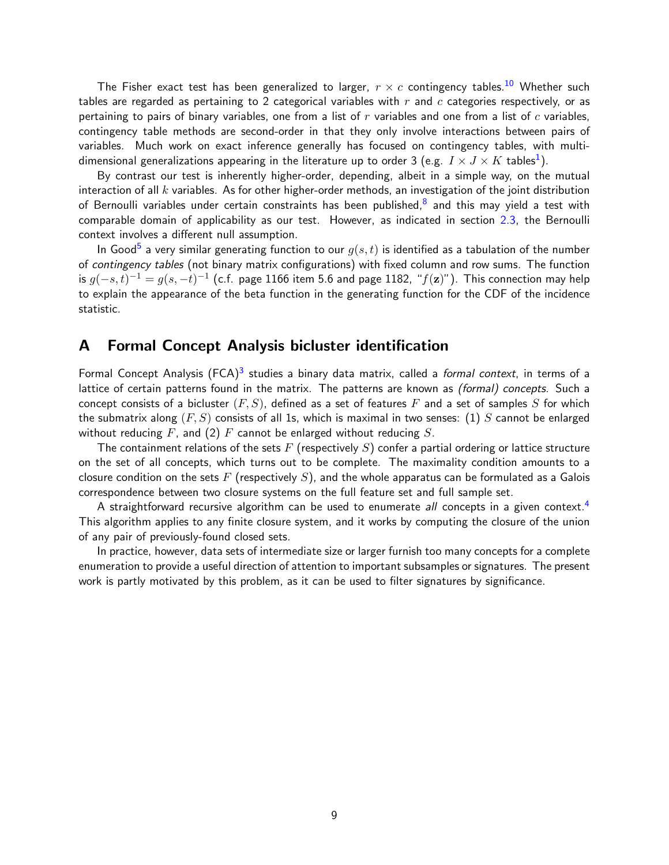The Fisher exact test has been generalized to larger,  $r \times c$  contingency tables.<sup>[10](#page-13-2)</sup> Whether such tables are regarded as pertaining to 2 categorical variables with  $r$  and  $c$  categories respectively, or as pertaining to pairs of binary variables, one from a list of  $r$  variables and one from a list of  $c$  variables, contingency table methods are second-order in that they only involve interactions between pairs of variables. Much work on exact inference generally has focused on contingency tables, with multidimensional generalizations appearing in the literature up to order 3 (e.g.  $\textit{I} \times \textit{J} \times \textit{K}$  tables $^1$  $^1$ ).

By contrast our test is inherently higher-order, depending, albeit in a simple way, on the mutual interaction of all  $k$  variables. As for other higher-order methods, an investigation of the joint distribution of Bernoulli variables under certain constraints has been published, $^8$  $^8$  and this may yield a test with comparable domain of applicability as our test. However, as indicated in section [2.3,](#page-2-0) the Bernoulli context involves a different null assumption.

In Good $^5$  $^5$  a very similar generating function to our  $g(s,t)$  is identified as a tabulation of the number of contingency tables (not binary matrix configurations) with fixed column and row sums. The function is  $g(-s,t)^{-1}=g(s,-t)^{-1}$  (c.f. page 1166 item 5.6 and page 1182, " $f(\mathbf{z})$ "). This connection may help to explain the appearance of the beta function in the generating function for the CDF of the incidence statistic.

### <span id="page-8-0"></span>A Formal Concept Analysis bicluster identification

Formal Concept Analysis (FCA)<sup>[3](#page-13-6)</sup> studies a binary data matrix, called a *formal context*, in terms of a lattice of certain patterns found in the matrix. The patterns are known as *(formal) concepts*. Such a concept consists of a bicluster  $(F, S)$ , defined as a set of features F and a set of samples S for which the submatrix along  $(F, S)$  consists of all 1s, which is maximal in two senses: (1) S cannot be enlarged without reducing  $F$ , and (2)  $F$  cannot be enlarged without reducing  $S$ .

The containment relations of the sets F (respectively S) confer a partial ordering or lattice structure on the set of all concepts, which turns out to be complete. The maximality condition amounts to a closure condition on the sets F (respectively  $S$ ), and the whole apparatus can be formulated as a Galois correspondence between two closure systems on the full feature set and full sample set.

A straightforward recursive algorithm can be used to enumerate all concepts in a given context.<sup>[4](#page-13-7)</sup> This algorithm applies to any finite closure system, and it works by computing the closure of the union of any pair of previously-found closed sets.

In practice, however, data sets of intermediate size or larger furnish too many concepts for a complete enumeration to provide a useful direction of attention to important subsamples or signatures. The present work is partly motivated by this problem, as it can be used to filter signatures by significance.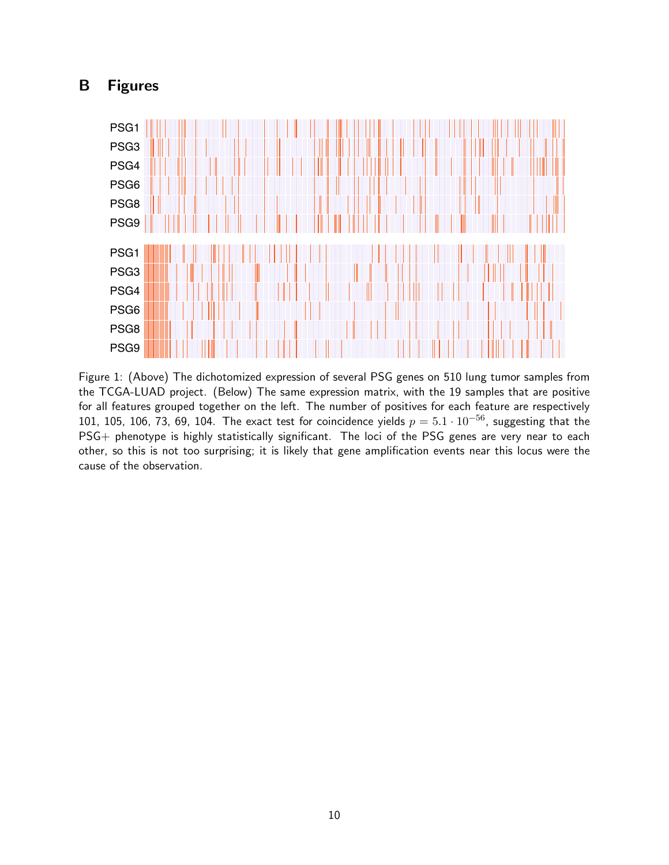# <span id="page-9-0"></span>B Figures



<span id="page-9-1"></span>Figure 1: (Above) The dichotomized expression of several PSG genes on 510 lung tumor samples from the TCGA-LUAD project. (Below) The same expression matrix, with the 19 samples that are positive for all features grouped together on the left. The number of positives for each feature are respectively 101, 105, 106, 73, 69, 104. The exact test for coincidence yields  $p = 5.1 \cdot 10^{-56}$ , suggesting that the PSG+ phenotype is highly statistically significant. The loci of the PSG genes are very near to each other, so this is not too surprising; it is likely that gene amplification events near this locus were the cause of the observation.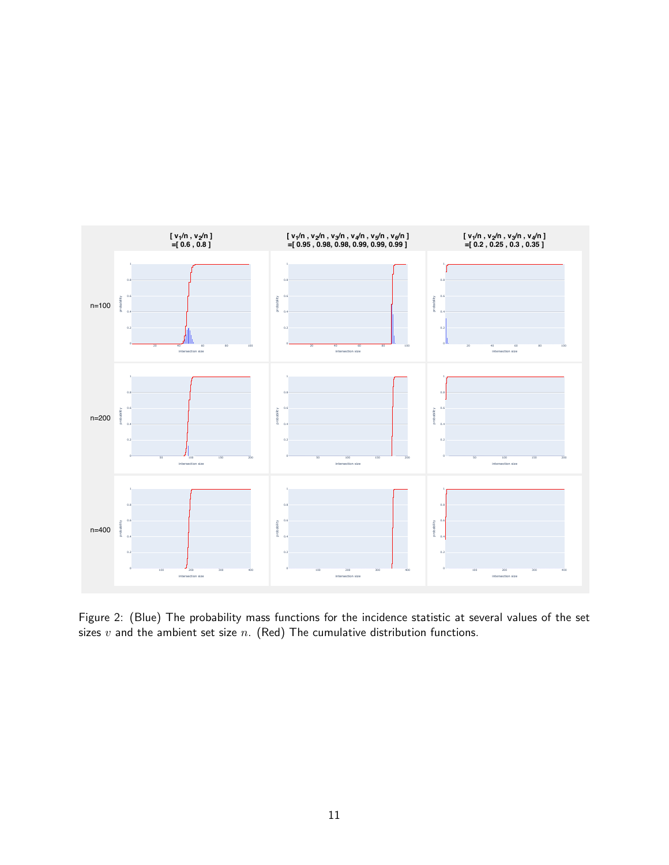

<span id="page-10-0"></span>Figure 2: (Blue) The probability mass functions for the incidence statistic at several values of the set sizes  $v$  and the ambient set size  $n$ . (Red) The cumulative distribution functions.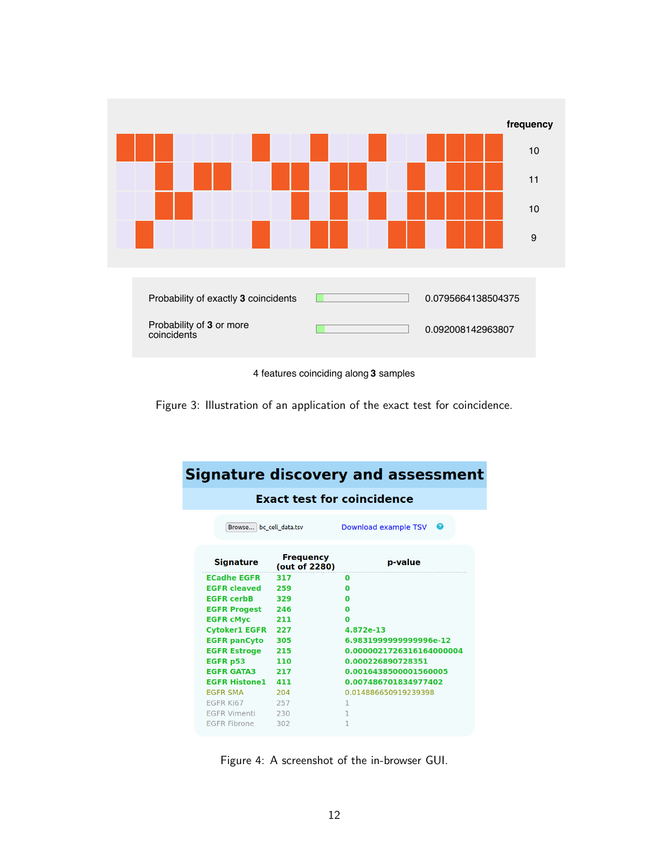

4 features coinciding along **3** samples

<span id="page-11-0"></span>Figure 3: Illustration of an application of the exact test for coincidence.

| <b>Signature discovery and assessment</b> |                                   |                                   |  |  |  |  |  |
|-------------------------------------------|-----------------------------------|-----------------------------------|--|--|--|--|--|
| <b>Exact test for coincidence</b>         |                                   |                                   |  |  |  |  |  |
| Browse bc cell data.tsv                   |                                   | Download example TSV <sup>O</sup> |  |  |  |  |  |
| <b>Signature</b>                          | <b>Frequency</b><br>(out of 2280) | p-value                           |  |  |  |  |  |
| <b>ECadhe EGFR</b>                        | 317                               | O                                 |  |  |  |  |  |
| <b>EGFR cleaved</b>                       | 259                               | $\Omega$                          |  |  |  |  |  |
| <b>EGFR cerbB</b>                         | 329                               | ŋ                                 |  |  |  |  |  |
| <b>EGFR Progest</b>                       | 246                               | ŋ                                 |  |  |  |  |  |
| <b>EGFR cMyc</b>                          | 211                               | $\Omega$                          |  |  |  |  |  |
| <b>Cytoker1 EGFR</b>                      | 227                               | 4.872e-13                         |  |  |  |  |  |
| <b>EGFR panCyto</b>                       | 305                               | 6.9831999999999996e-12            |  |  |  |  |  |
| <b>EGFR Estroge</b><br>215                |                                   | 0.0000021726316164000004          |  |  |  |  |  |
| EGFR p53<br>110                           |                                   | 0.000226890728351                 |  |  |  |  |  |
| <b>EGFR GATA3</b>                         | 217                               | 0.0016438500001560005             |  |  |  |  |  |
| <b>EGFR Histone1</b>                      | 411                               | 0.007486701834977402              |  |  |  |  |  |
| <b>EGFR SMA</b>                           | 204                               | 0.014886650919239398              |  |  |  |  |  |
| EGFR Ki67                                 | 257                               | 1                                 |  |  |  |  |  |
| EGFR Vimenti                              | 230                               | 1                                 |  |  |  |  |  |
| <b>EGFR Fibrone</b>                       | 302                               | 1                                 |  |  |  |  |  |

<span id="page-11-1"></span>Figure 4: A screenshot of the in-browser GUI.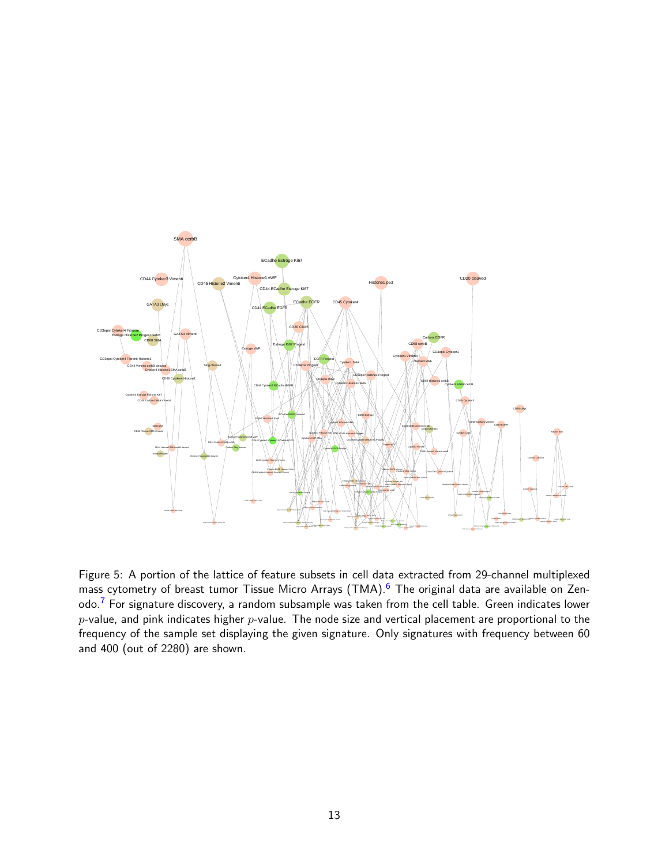

Figure 5: A portion of the lattice of feature subsets in cell data extracted from 29-channel multiplexed mass cytometry of breast tumor Tissue Micro Arrays (TMA).<sup>[6](#page-13-8)</sup> The original data are available on Zen-odo.<sup>[7](#page-13-9)</sup> For signature discovery, a random subsample was taken from the cell table. Green indicates lower  $p$ -value, and pink indicates higher  $p$ -value. The node size and vertical placement are proportional to the frequency of the sample set displaying the given signature. Only signatures with frequency between 60 and 400 (out of 2280) are shown.